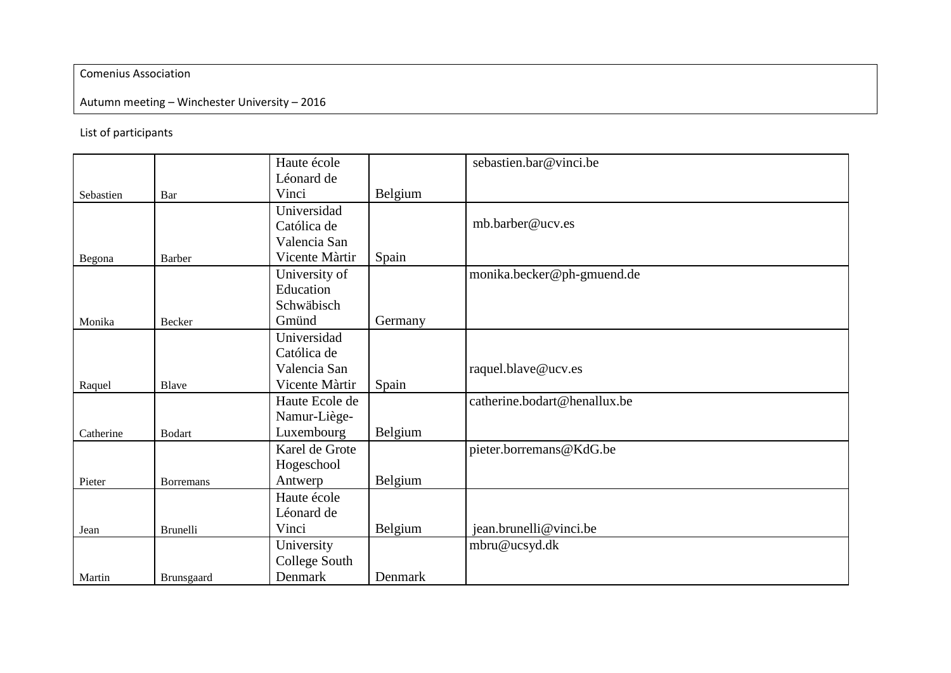## Comenius Association

## Autumn meeting – Winchester University – 2016

## List of participants

|           |                   | Haute école    |         | sebastien.bar@vinci.be       |
|-----------|-------------------|----------------|---------|------------------------------|
|           |                   | Léonard de     |         |                              |
| Sebastien | Bar               | Vinci          | Belgium |                              |
|           |                   | Universidad    |         |                              |
|           |                   | Católica de    |         | mb.barber@ucv.es             |
|           |                   | Valencia San   |         |                              |
| Begona    | <b>Barber</b>     | Vicente Màrtir | Spain   |                              |
|           |                   | University of  |         | monika.becker@ph-gmuend.de   |
|           |                   | Education      |         |                              |
|           |                   | Schwäbisch     |         |                              |
| Monika    | Becker            | Gmünd          | Germany |                              |
|           |                   | Universidad    |         |                              |
|           |                   | Católica de    |         |                              |
|           |                   | Valencia San   |         | raquel.blave@ucv.es          |
| Raquel    | Blave             | Vicente Màrtir | Spain   |                              |
|           |                   | Haute Ecole de |         | catherine.bodart@henallux.be |
|           |                   | Namur-Liège-   |         |                              |
| Catherine | <b>Bodart</b>     | Luxembourg     | Belgium |                              |
|           |                   | Karel de Grote |         | pieter.borremans@KdG.be      |
|           |                   | Hogeschool     |         |                              |
| Pieter    | <b>Borremans</b>  | Antwerp        | Belgium |                              |
|           |                   | Haute école    |         |                              |
|           |                   | Léonard de     |         |                              |
| Jean      | <b>Brunelli</b>   | Vinci          | Belgium | jean.brunelli@vinci.be       |
|           |                   | University     |         | mbru@ucsyd.dk                |
|           |                   | College South  |         |                              |
| Martin    | <b>Brunsgaard</b> | Denmark        | Denmark |                              |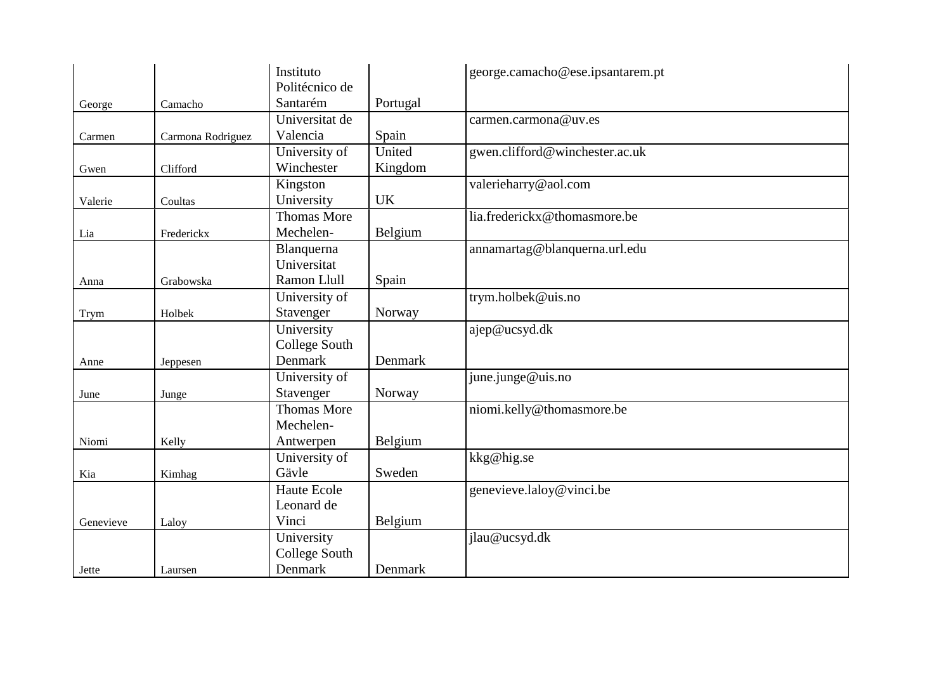|           |                   | Instituto          |           | george.camacho@ese.ipsantarem.pt |
|-----------|-------------------|--------------------|-----------|----------------------------------|
|           |                   | Politécnico de     |           |                                  |
| George    | Camacho           | Santarém           | Portugal  |                                  |
|           |                   | Universitat de     |           | carmen.carmona@uv.es             |
| Carmen    | Carmona Rodriguez | Valencia           | Spain     |                                  |
|           |                   | University of      | United    | gwen.clifford@winchester.ac.uk   |
| Gwen      | Clifford          | Winchester         | Kingdom   |                                  |
|           |                   | Kingston           |           | valerieharry@aol.com             |
| Valerie   | Coultas           | University         | <b>UK</b> |                                  |
|           |                   | <b>Thomas More</b> |           | lia.frederickx@thomasmore.be     |
| Lia       | Frederickx        | Mechelen-          | Belgium   |                                  |
|           |                   | Blanquerna         |           | annamartag@blanquerna.url.edu    |
|           |                   | Universitat        |           |                                  |
| Anna      | Grabowska         | Ramon Llull        | Spain     |                                  |
|           |                   | University of      |           | trym.holbek@uis.no               |
| Trym      | Holbek            | Stavenger          | Norway    |                                  |
|           |                   | University         |           | ajep@ucsyd.dk                    |
|           |                   | College South      |           |                                  |
| Anne      | Jeppesen          | Denmark            | Denmark   |                                  |
|           |                   | University of      |           | june.junge@uis.no                |
| June      | Junge             | Stavenger          | Norway    |                                  |
|           |                   | <b>Thomas More</b> |           | niomi.kelly@thomasmore.be        |
|           |                   | Mechelen-          |           |                                  |
| Niomi     | Kelly             | Antwerpen          | Belgium   |                                  |
|           |                   | University of      |           | kkg@hig.se                       |
| Kia       | Kimhag            | Gävle              | Sweden    |                                  |
|           |                   | <b>Haute Ecole</b> |           | genevieve.laloy@vinci.be         |
|           |                   | Leonard de         |           |                                  |
| Genevieve | Laloy             | Vinci              | Belgium   |                                  |
|           |                   | University         |           | jlau@ucsyd.dk                    |
|           |                   | College South      |           |                                  |
| Jette     | Laursen           | Denmark            | Denmark   |                                  |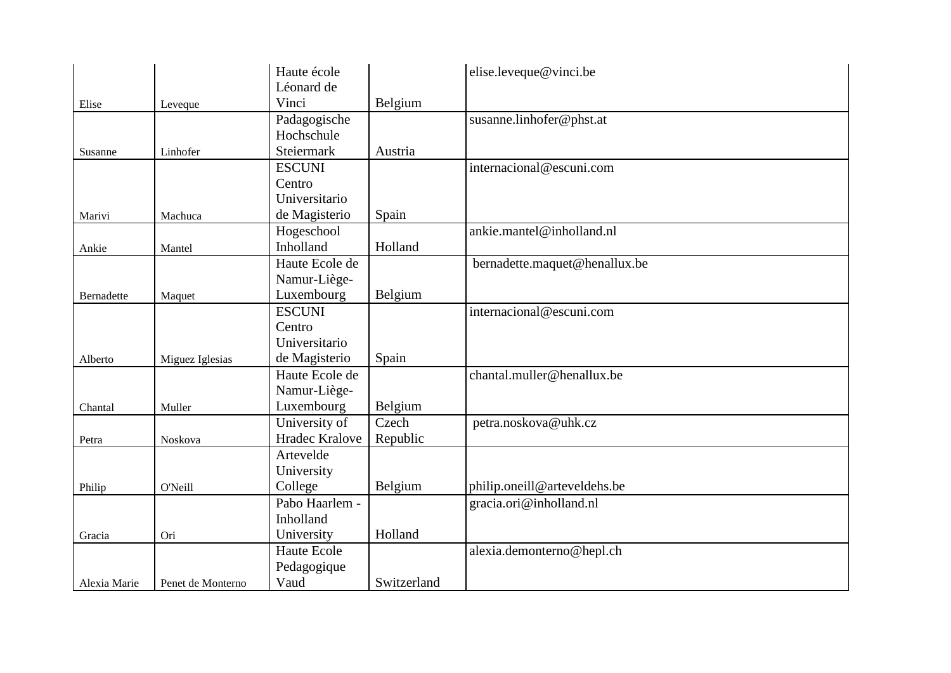|              |                   | Haute école    |             | elise.leveque@vinci.be        |
|--------------|-------------------|----------------|-------------|-------------------------------|
|              |                   | Léonard de     |             |                               |
| Elise        | Leveque           | Vinci          | Belgium     |                               |
|              |                   | Padagogische   |             | susanne.linhofer@phst.at      |
|              |                   | Hochschule     |             |                               |
| Susanne      | Linhofer          | Steiermark     | Austria     |                               |
|              |                   | <b>ESCUNI</b>  |             | internacional@escuni.com      |
|              |                   | Centro         |             |                               |
|              |                   | Universitario  |             |                               |
| Marivi       | Machuca           | de Magisterio  | Spain       |                               |
|              |                   | Hogeschool     |             | ankie.mantel@inholland.nl     |
| Ankie        | Mantel            | Inholland      | Holland     |                               |
|              |                   | Haute Ecole de |             | bernadette.maquet@henallux.be |
|              |                   | Namur-Liège-   |             |                               |
| Bernadette   | Maquet            | Luxembourg     | Belgium     |                               |
|              |                   | <b>ESCUNI</b>  |             | internacional@escuni.com      |
|              |                   | Centro         |             |                               |
|              |                   | Universitario  |             |                               |
| Alberto      | Miguez Iglesias   | de Magisterio  | Spain       |                               |
|              |                   | Haute Ecole de |             | chantal.muller@henallux.be    |
|              |                   | Namur-Liège-   |             |                               |
| Chantal      | Muller            | Luxembourg     | Belgium     |                               |
|              |                   | University of  | Czech       | petra.noskova@uhk.cz          |
| Petra        | Noskova           | Hradec Kralove | Republic    |                               |
|              |                   | Artevelde      |             |                               |
|              |                   | University     |             |                               |
| Philip       | O'Neill           | College        | Belgium     | philip.oneill@arteveldehs.be  |
|              |                   | Pabo Haarlem - |             | gracia.ori@inholland.nl       |
|              |                   | Inholland      |             |                               |
| Gracia       | Ori               | University     | Holland     |                               |
|              |                   | Haute Ecole    |             | alexia.demonterno@hepl.ch     |
|              |                   | Pedagogique    |             |                               |
| Alexia Marie | Penet de Monterno | Vaud           | Switzerland |                               |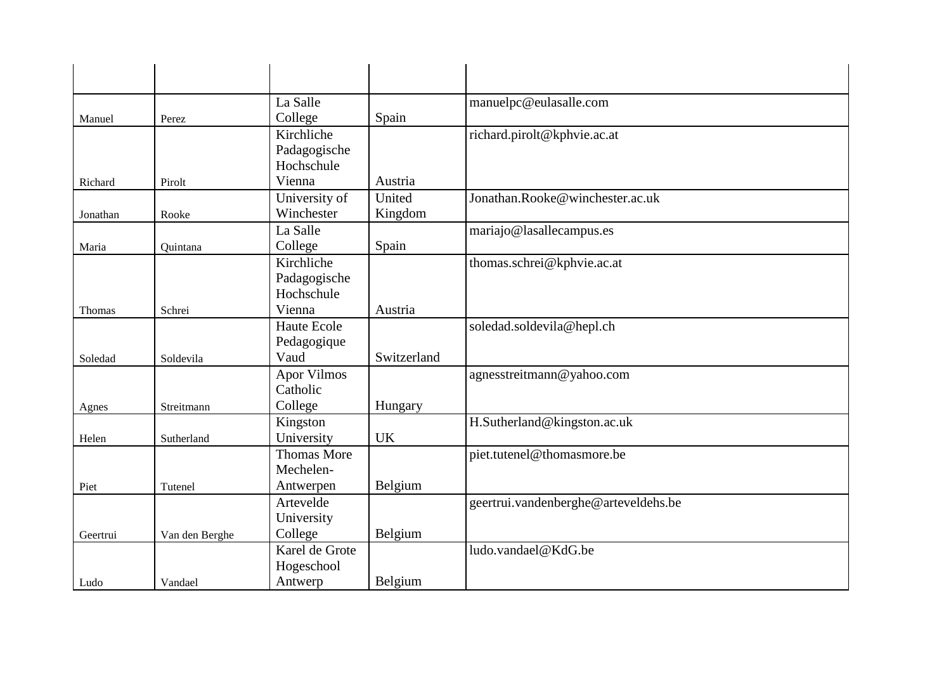|          |                | La Salle               |             | manuelpc@eulasalle.com               |
|----------|----------------|------------------------|-------------|--------------------------------------|
| Manuel   | Perez          | College                | Spain       |                                      |
|          |                | Kirchliche             |             | richard.pirolt@kphvie.ac.at          |
|          |                | Padagogische           |             |                                      |
|          |                | Hochschule             |             |                                      |
| Richard  | Pirolt         | Vienna                 | Austria     |                                      |
|          |                | University of          | United      | Jonathan.Rooke@winchester.ac.uk      |
| Jonathan | Rooke          | Winchester             | Kingdom     |                                      |
|          |                | La Salle               |             | mariajo@lasallecampus.es             |
| Maria    | Quintana       | College                | Spain       |                                      |
|          |                | Kirchliche             |             | thomas.schrei@kphvie.ac.at           |
|          |                | Padagogische           |             |                                      |
|          |                | Hochschule             |             |                                      |
| Thomas   | Schrei         | Vienna                 | Austria     |                                      |
|          |                | <b>Haute Ecole</b>     |             | soledad.soldevila@hepl.ch            |
|          |                | Pedagogique            |             |                                      |
| Soledad  | Soldevila      | Vaud                   | Switzerland |                                      |
|          |                | <b>Apor Vilmos</b>     |             | agnesstreitmann@yahoo.com            |
|          |                | Catholic               |             |                                      |
| Agnes    | Streitmann     | College                | Hungary     |                                      |
|          |                | Kingston<br>University | <b>UK</b>   | H.Sutherland@kingston.ac.uk          |
| Helen    | Sutherland     | <b>Thomas More</b>     |             | piet.tutenel@thomasmore.be           |
|          |                | Mechelen-              |             |                                      |
| Piet     | Tutenel        | Antwerpen              | Belgium     |                                      |
|          |                | Artevelde              |             | geertrui.vandenberghe@arteveldehs.be |
|          |                | University             |             |                                      |
| Geertrui | Van den Berghe | College                | Belgium     |                                      |
|          |                | Karel de Grote         |             | ludo.vandael@KdG.be                  |
|          |                | Hogeschool             |             |                                      |
| Ludo     | Vandael        | Antwerp                | Belgium     |                                      |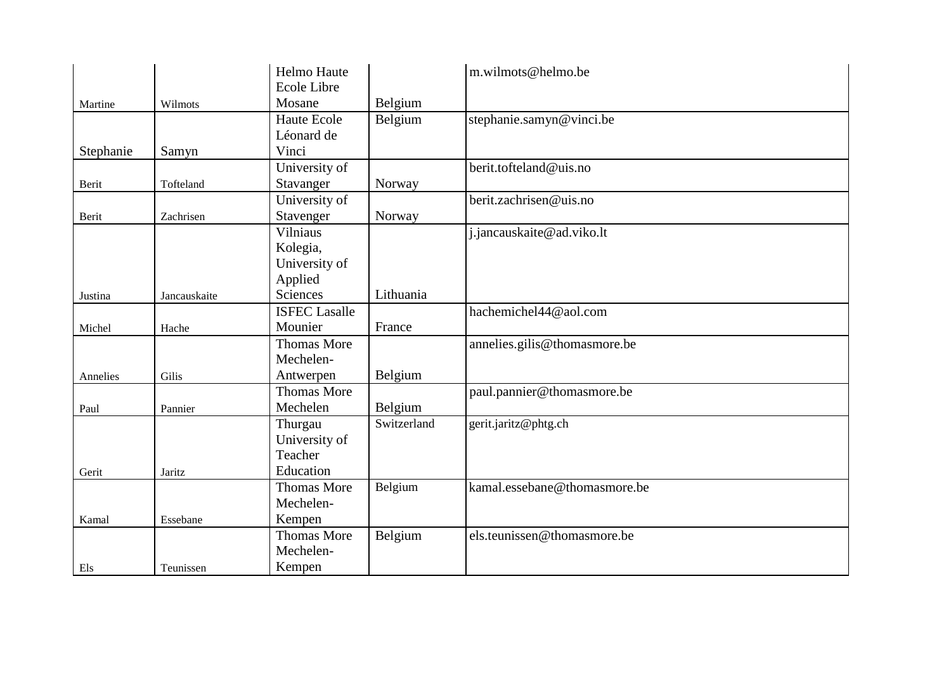|           |              | Helmo Haute          |             | m.wilmots@helmo.be           |
|-----------|--------------|----------------------|-------------|------------------------------|
|           |              | Ecole Libre          |             |                              |
| Martine   | Wilmots      | Mosane               | Belgium     |                              |
|           |              | Haute Ecole          | Belgium     | stephanie.samyn@vinci.be     |
|           |              | Léonard de           |             |                              |
| Stephanie | Samyn        | Vinci                |             |                              |
|           |              | University of        |             | berit.tofteland@uis.no       |
| Berit     | Tofteland    | Stavanger            | Norway      |                              |
|           |              | University of        |             | berit.zachrisen@uis.no       |
| Berit     | Zachrisen    | Stavenger            | Norway      |                              |
|           |              | Vilniaus             |             | j.jancauskaite@ad.viko.lt    |
|           |              | Kolegia,             |             |                              |
|           |              | University of        |             |                              |
|           |              | Applied              |             |                              |
| Justina   | Jancauskaite | Sciences             | Lithuania   |                              |
|           |              | <b>ISFEC Lasalle</b> |             | hachemichel44@aol.com        |
| Michel    | Hache        | Mounier              | France      |                              |
|           |              | <b>Thomas More</b>   |             | annelies.gilis@thomasmore.be |
|           |              | Mechelen-            |             |                              |
| Annelies  | Gilis        | Antwerpen            | Belgium     |                              |
|           |              | <b>Thomas More</b>   |             | paul.pannier@thomasmore.be   |
| Paul      | Pannier      | Mechelen             | Belgium     |                              |
|           |              | Thurgau              | Switzerland | gerit.jaritz@phtg.ch         |
|           |              | University of        |             |                              |
|           |              | Teacher              |             |                              |
| Gerit     | Jaritz       | Education            |             |                              |
|           |              | <b>Thomas More</b>   | Belgium     | kamal.essebane@thomasmore.be |
|           |              | Mechelen-            |             |                              |
| Kamal     | Essebane     | Kempen               |             |                              |
|           |              | <b>Thomas More</b>   | Belgium     | els.teunissen@thomasmore.be  |
|           |              | Mechelen-            |             |                              |
| Els       | Teunissen    | Kempen               |             |                              |